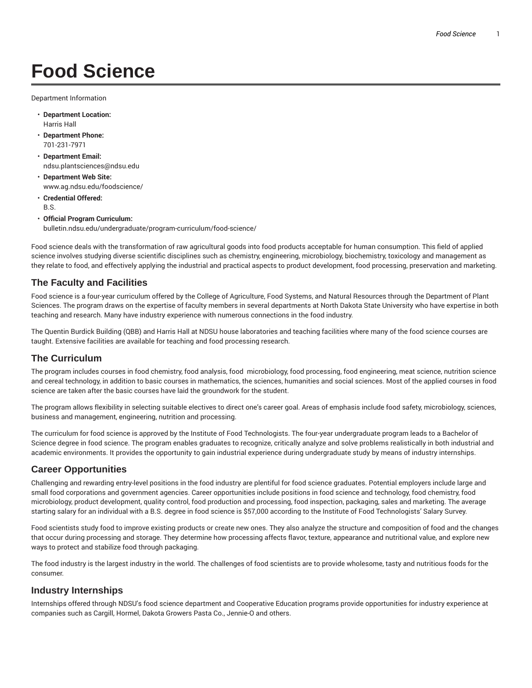# **Food Science**

Department Information

- **Department Location:** Harris Hall
- **Department Phone:** 701-231-7971
- **Department Email:** ndsu.plantsciences@ndsu.edu
- **Department Web Site:** www.ag.ndsu.edu/foodscience/
- **Credential Offered:** B.S.
- **Official Program Curriculum:** bulletin.ndsu.edu/undergraduate/program-curriculum/food-science/

Food science deals with the transformation of raw agricultural goods into food products acceptable for human consumption. This field of applied science involves studying diverse scientific disciplines such as chemistry, engineering, microbiology, biochemistry, toxicology and management as they relate to food, and effectively applying the industrial and practical aspects to product development, food processing, preservation and marketing.

#### **The Faculty and Facilities**

Food science is a four-year curriculum offered by the College of Agriculture, Food Systems, and Natural Resources through the Department of Plant Sciences. The program draws on the expertise of faculty members in several departments at North Dakota State University who have expertise in both teaching and research. Many have industry experience with numerous connections in the food industry.

The Quentin Burdick Building (QBB) and Harris Hall at NDSU house laboratories and teaching facilities where many of the food science courses are taught. Extensive facilities are available for teaching and food processing research.

#### **The Curriculum**

The program includes courses in food chemistry, food analysis, food microbiology, food processing, food engineering, meat science, nutrition science and cereal technology, in addition to basic courses in mathematics, the sciences, humanities and social sciences. Most of the applied courses in food science are taken after the basic courses have laid the groundwork for the student.

The program allows flexibility in selecting suitable electives to direct one's career goal. Areas of emphasis include food safety, microbiology, sciences, business and management, engineering, nutrition and processing.

The curriculum for food science is approved by the Institute of Food Technologists. The four-year undergraduate program leads to a Bachelor of Science degree in food science. The program enables graduates to recognize, critically analyze and solve problems realistically in both industrial and academic environments. It provides the opportunity to gain industrial experience during undergraduate study by means of industry internships.

#### **Career Opportunities**

Challenging and rewarding entry-level positions in the food industry are plentiful for food science graduates. Potential employers include large and small food corporations and government agencies. Career opportunities include positions in food science and technology, food chemistry, food microbiology, product development, quality control, food production and processing, food inspection, packaging, sales and marketing. The average starting salary for an individual with a B.S. degree in food science is \$57,000 according to the Institute of Food Technologists' Salary Survey.

Food scientists study food to improve existing products or create new ones. They also analyze the structure and composition of food and the changes that occur during processing and storage. They determine how processing affects flavor, texture, appearance and nutritional value, and explore new ways to protect and stabilize food through packaging.

The food industry is the largest industry in the world. The challenges of food scientists are to provide wholesome, tasty and nutritious foods for the consumer.

#### **Industry Internships**

Internships offered through NDSU's food science department and Cooperative Education programs provide opportunities for industry experience at companies such as Cargill, Hormel, Dakota Growers Pasta Co., Jennie-O and others.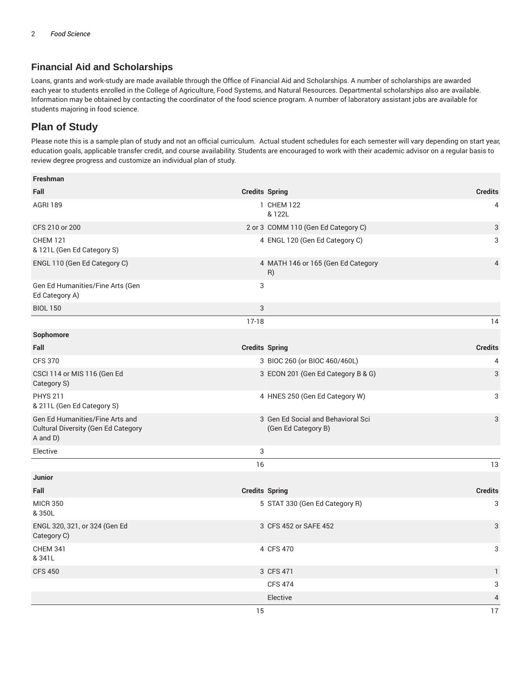### **Financial Aid and Scholarships**

Loans, grants and work-study are made available through the Office of Financial Aid and Scholarships. A number of scholarships are awarded each year to students enrolled in the College of Agriculture, Food Systems, and Natural Resources. Departmental scholarships also are available. Information may be obtained by contacting the coordinator of the food science program. A number of laboratory assistant jobs are available for students majoring in food science.

## **Plan of Study**

Please note this is a sample plan of study and not an official curriculum. Actual student schedules for each semester will vary depending on start year, education goals, applicable transfer credit, and course availability. Students are encouraged to work with their academic advisor on a regular basis to review degree progress and customize an individual plan of study.

| Freshman                                                                                  |         |                                                           |                |
|-------------------------------------------------------------------------------------------|---------|-----------------------------------------------------------|----------------|
| Fall                                                                                      |         | <b>Credits Spring</b>                                     | <b>Credits</b> |
| <b>AGRI 189</b>                                                                           |         | 1 CHEM 122<br>& 122L                                      | 4              |
| CFS 210 or 200                                                                            |         | 2 or 3 COMM 110 (Gen Ed Category C)                       | 3              |
| <b>CHEM 121</b><br>& 121L (Gen Ed Category S)                                             |         | 4 ENGL 120 (Gen Ed Category C)                            | 3              |
| ENGL 110 (Gen Ed Category C)                                                              |         | 4 MATH 146 or 165 (Gen Ed Category<br>R)                  | $\overline{4}$ |
| Gen Ed Humanities/Fine Arts (Gen<br>Ed Category A)                                        | 3       |                                                           |                |
| <b>BIOL 150</b>                                                                           | 3       |                                                           |                |
|                                                                                           | $17-18$ |                                                           | 14             |
| Sophomore                                                                                 |         |                                                           |                |
| Fall                                                                                      |         | <b>Credits Spring</b>                                     | <b>Credits</b> |
| <b>CFS 370</b>                                                                            |         | 3 BIOC 260 (or BIOC 460/460L)                             | 4              |
| CSCI 114 or MIS 116 (Gen Ed<br>Category S)                                                |         | 3 ECON 201 (Gen Ed Category B & G)                        | 3              |
| <b>PHYS 211</b><br>& 211L (Gen Ed Category S)                                             |         | 4 HNES 250 (Gen Ed Category W)                            | 3              |
| Gen Ed Humanities/Fine Arts and<br><b>Cultural Diversity (Gen Ed Category</b><br>A and D) |         | 3 Gen Ed Social and Behavioral Sci<br>(Gen Ed Category B) | 3              |
| Elective                                                                                  | 3       |                                                           |                |
|                                                                                           | 16      |                                                           | 13             |
| <b>Junior</b>                                                                             |         |                                                           |                |
| Fall                                                                                      |         | <b>Credits Spring</b>                                     | <b>Credits</b> |
| <b>MICR 350</b><br>&350L                                                                  |         | 5 STAT 330 (Gen Ed Category R)                            | 3              |
| ENGL 320, 321, or 324 (Gen Ed<br>Category C)                                              |         | 3 CFS 452 or SAFE 452                                     | 3              |
| <b>CHEM 341</b><br>& 341L                                                                 |         | 4 CFS 470                                                 | 3              |
| <b>CFS 450</b>                                                                            |         | 3 CFS 471                                                 | 1              |
|                                                                                           |         | <b>CFS 474</b>                                            | 3              |
|                                                                                           |         | Elective                                                  | 4              |
|                                                                                           | 15      |                                                           | 17             |